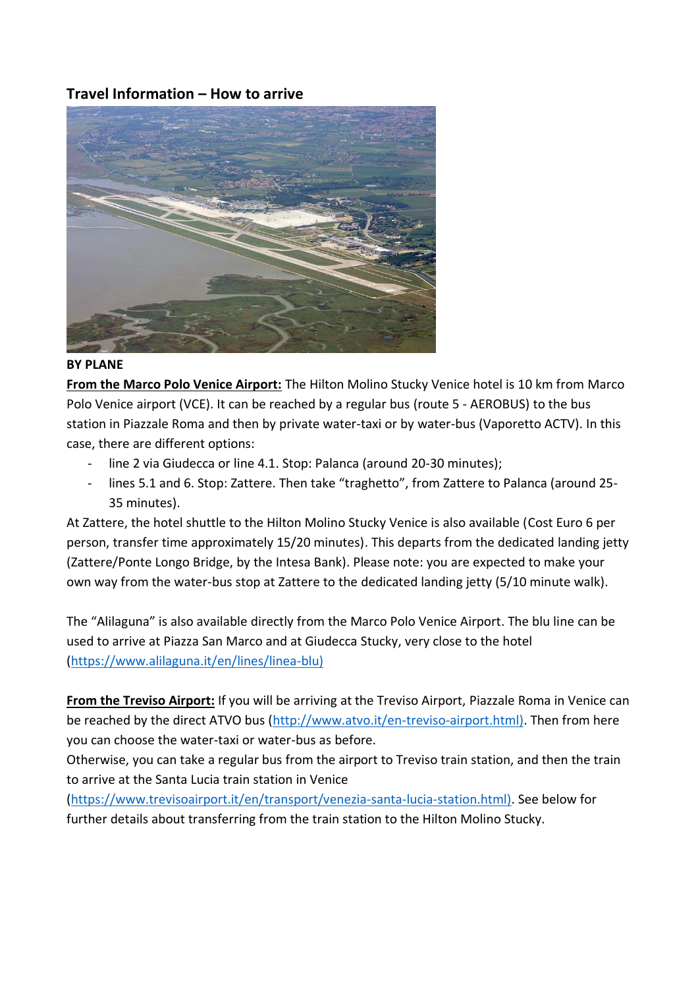## **Travel Information – How to arrive**



#### **BY PLANE**

**From the Marco Polo Venice Airport:** The Hilton Molino Stucky Venice hotel is 10 km from Marco Polo Venice airport (VCE). It can be reached by a regular bus (route 5 - AEROBUS) to the bus station in Piazzale Roma and then by private water-taxi or by water-bus (Vaporetto ACTV). In this case, there are different options:

- line 2 via Giudecca or line 4.1. Stop: Palanca (around 20-30 minutes);
- lines 5.1 and 6. Stop: Zattere. Then take "traghetto", from Zattere to Palanca (around 25- 35 minutes).

At Zattere, the hotel shuttle to the Hilton Molino Stucky Venice is also available (Cost Euro 6 per person, transfer time approximately 15/20 minutes). This departs from the dedicated landing jetty (Zattere/Ponte Longo Bridge, by the Intesa Bank). Please note: you are expected to make your own way from the water-bus stop at Zattere to the dedicated landing jetty (5/10 minute walk).

The "Alilaguna" is also available directly from the Marco Polo Venice Airport. The blu line can be used to arrive at Piazza San Marco and at Giudecca Stucky, very close to the hotel [\(https://www.alilaguna.it/en/lines/linea-blu\)](https://www.alilaguna.it/en/lines/linea-blu))

**From the Treviso Airport:** If you will be arriving at the Treviso Airport, Piazzale Roma in Venice can be reached by the direct ATVO bus [\(http://www.atvo.it/en-treviso-airport.html\).](http://www.atvo.it/en-treviso-airport.html)) Then from here you can choose the water-taxi or water-bus as before.

Otherwise, you can take a regular bus from the airport to Treviso train station, and then the train to arrive at the Santa Lucia train station in Venice

[\(https://www.trevisoairport.it/en/transport/venezia-santa-lucia-station.html\).](https://www.trevisoairport.it/en/transport/venezia-santa-lucia-station.html)) See below for further details about transferring from the train station to the Hilton Molino Stucky.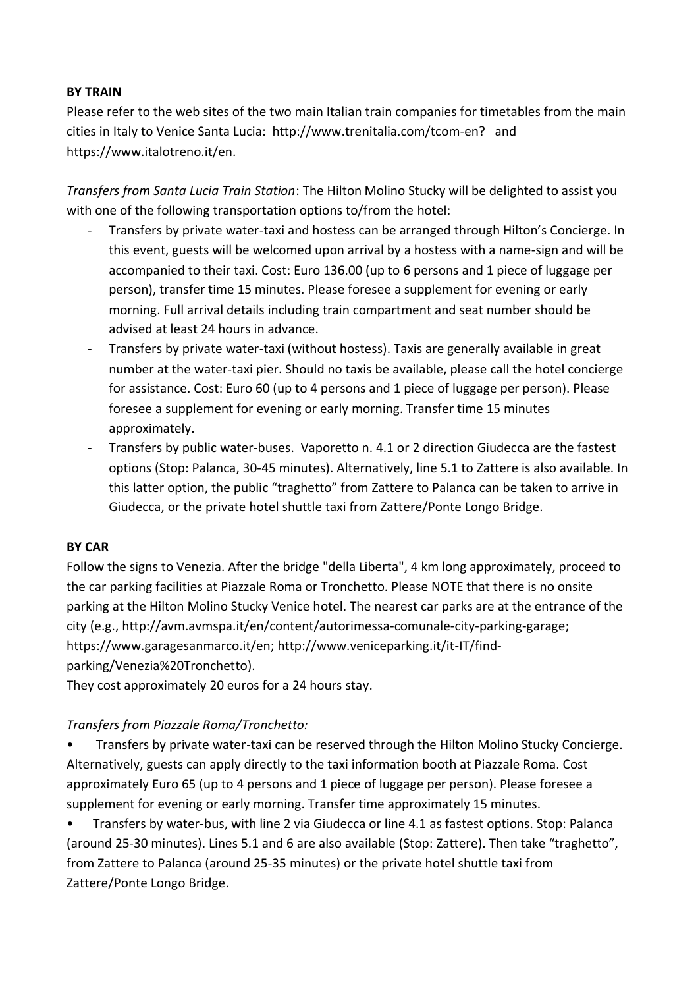### **BY TRAIN**

Please refer to the web sites of the two main Italian train companies for timetables from the main cities in Italy to Venice Santa Lucia: http://www.trenitalia.com/tcom-en? and https://www.italotreno.it/en.

*Transfers from Santa Lucia Train Station*: The Hilton Molino Stucky will be delighted to assist you with one of the following transportation options to/from the hotel:

- Transfers by private water-taxi and hostess can be arranged through Hilton's Concierge. In this event, guests will be welcomed upon arrival by a hostess with a name-sign and will be accompanied to their taxi. Cost: Euro 136.00 (up to 6 persons and 1 piece of luggage per person), transfer time 15 minutes. Please foresee a supplement for evening or early morning. Full arrival details including train compartment and seat number should be advised at least 24 hours in advance.
- Transfers by private water-taxi (without hostess). Taxis are generally available in great number at the water-taxi pier. Should no taxis be available, please call the hotel concierge for assistance. Cost: Euro 60 (up to 4 persons and 1 piece of luggage per person). Please foresee a supplement for evening or early morning. Transfer time 15 minutes approximately.
- Transfers by public water-buses. Vaporetto n. 4.1 or 2 direction Giudecca are the fastest options (Stop: Palanca, 30-45 minutes). Alternatively, line 5.1 to Zattere is also available. In this latter option, the public "traghetto" from Zattere to Palanca can be taken to arrive in Giudecca, or the private hotel shuttle taxi from Zattere/Ponte Longo Bridge.

#### **BY CAR**

Follow the signs to Venezia. After the bridge "della Liberta", 4 km long approximately, proceed to the car parking facilities at Piazzale Roma or Tronchetto. Please NOTE that there is no onsite parking at the Hilton Molino Stucky Venice hotel. The nearest car parks are at the entrance of the city (e.g., http://avm.avmspa.it/en/content/autorimessa-comunale-city-parking-garage; https://www.garagesanmarco.it/en; http://www.veniceparking.it/it-IT/findparking/Venezia%20Tronchetto).

They cost approximately 20 euros for a 24 hours stay.

### *Transfers from Piazzale Roma/Tronchetto:*

• Transfers by private water-taxi can be reserved through the Hilton Molino Stucky Concierge. Alternatively, guests can apply directly to the taxi information booth at Piazzale Roma. Cost approximately Euro 65 (up to 4 persons and 1 piece of luggage per person). Please foresee a supplement for evening or early morning. Transfer time approximately 15 minutes.

• Transfers by water-bus, with line 2 via Giudecca or line 4.1 as fastest options. Stop: Palanca (around 25-30 minutes). Lines 5.1 and 6 are also available (Stop: Zattere). Then take "traghetto", from Zattere to Palanca (around 25-35 minutes) or the private hotel shuttle taxi from Zattere/Ponte Longo Bridge.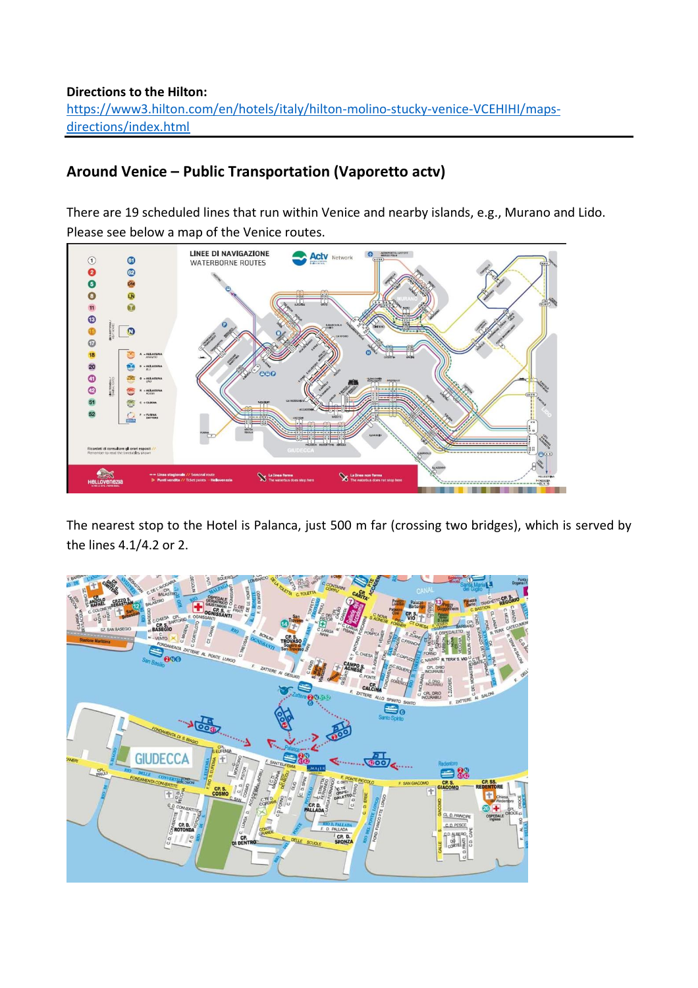### **Directions to the Hilton:**  [https://www3.hilton.com/en/hotels/italy/hilton-molino-stucky-venice-VCEHIHI/maps](https://www3.hilton.com/en/hotels/italy/hilton-molino-stucky-venice-VCEHIHI/maps-directions/index.html)[directions/index.html](https://www3.hilton.com/en/hotels/italy/hilton-molino-stucky-venice-VCEHIHI/maps-directions/index.html)

# **Around Venice – Public Transportation (Vaporetto actv)**

There are 19 scheduled lines that run within Venice and nearby islands, e.g., Murano and Lido. Please see below a map of the Venice routes.



The nearest stop to the Hotel is Palanca, just 500 m far (crossing two bridges), which is served by the lines 4.1/4.2 or 2.

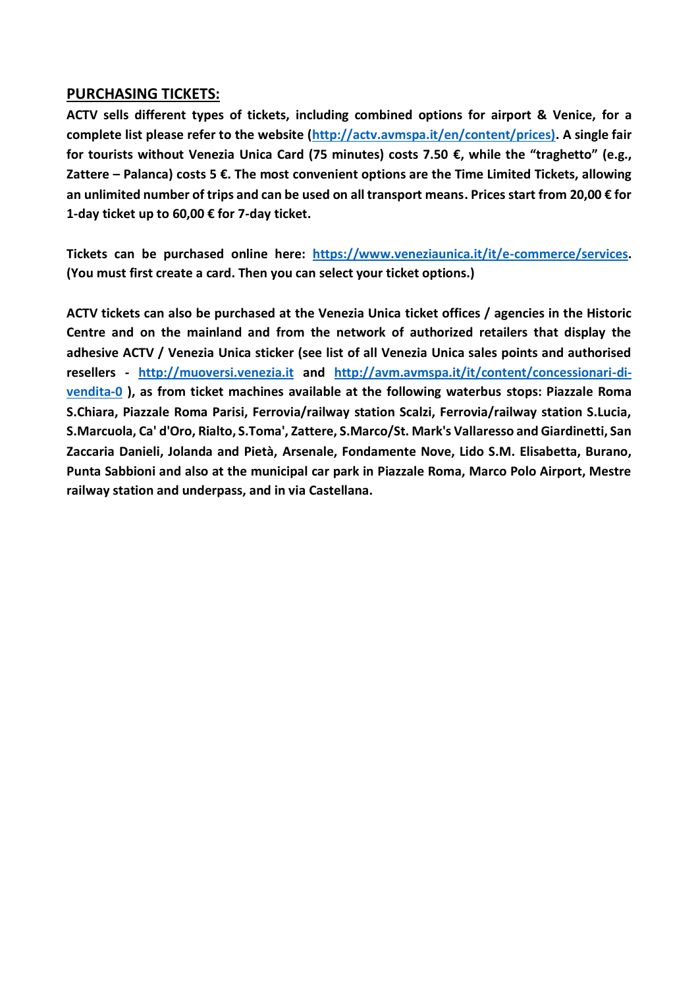### **PURCHASING TICKETS:**

**ACTV sells different types of tickets, including combined options for airport & Venice, for a complete list please refer to the website [\(http://actv.avmspa.it/en/content/prices\).](http://actv.avmspa.it/en/content/prices)) A single fair for tourists without Venezia Unica Card (75 minutes) costs 7.50 €, while the "traghetto" (e.g., Zattere – Palanca) costs 5 €. The most convenient options are the Time Limited Tickets, allowing an unlimited number of trips and can be used on all transport means. Prices start from 20,00 € for 1-day ticket up to 60,00 € for 7-day ticket.**

**Tickets can be purchased online here: [https://www.veneziaunica.it/it/e-commerce/services.](https://www.veneziaunica.it/it/e-commerce/services) (You must first create a card. Then you can select your ticket options.)**

**ACTV tickets can also be purchased at the Venezia Unica ticket offices / agencies in the Historic Centre and on the mainland and from the network of authorized retailers that display the adhesive ACTV / Venezia Unica sticker (see list of all Venezia Unica sales points and authorised resellers - [http://muoversi.venezia.it](http://muoversi.venezia.it/) and [http://avm.avmspa.it/it/content/concessionari-di](http://avm.avmspa.it/it/content/concessionari-di-vendita-0)[vendita-0](http://avm.avmspa.it/it/content/concessionari-di-vendita-0) ), as from ticket machines available at the following waterbus stops: Piazzale Roma S.Chiara, Piazzale Roma Parisi, Ferrovia/railway station Scalzi, Ferrovia/railway station S.Lucia, S.Marcuola, Ca' d'Oro, Rialto, S.Toma', Zattere, S.Marco/St. Mark's Vallaresso and Giardinetti, San Zaccaria Danieli, Jolanda and Pietà, Arsenale, Fondamente Nove, Lido S.M. Elisabetta, Burano, Punta Sabbioni and also at the municipal car park in Piazzale Roma, Marco Polo Airport, Mestre railway station and underpass, and in via Castellana.**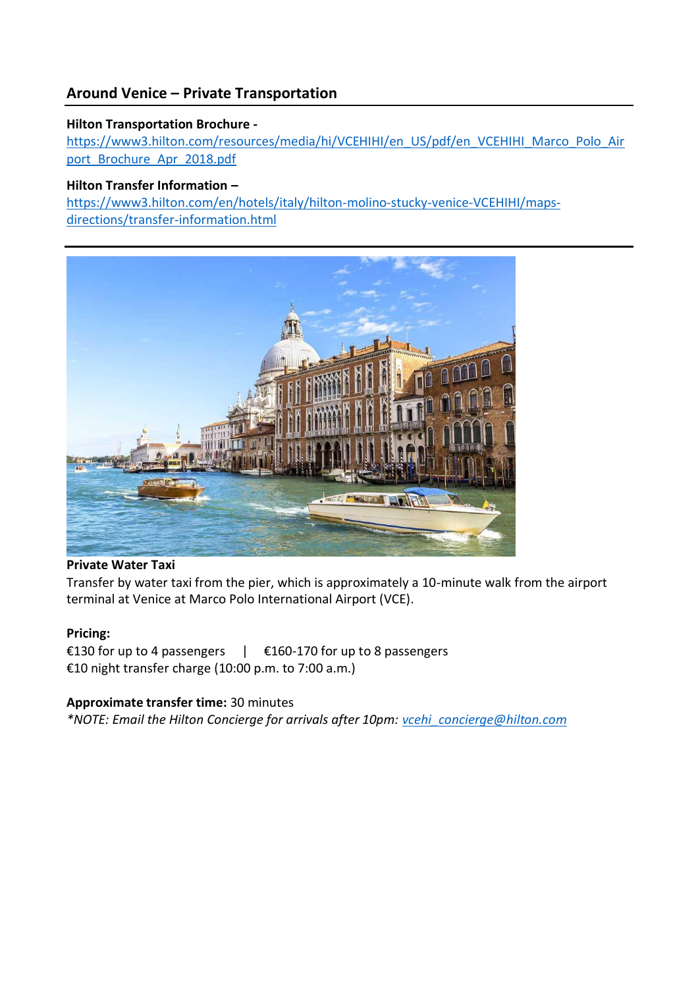## **Around Venice – Private Transportation**

### **Hilton Transportation Brochure -**

[https://www3.hilton.com/resources/media/hi/VCEHIHI/en\\_US/pdf/en\\_VCEHIHI\\_Marco\\_Polo\\_Air](https://www3.hilton.com/resources/media/hi/VCEHIHI/en_US/pdf/en_VCEHIHI_Marco_Polo_Airport_Brochure_Apr_2018.pdf) [port\\_Brochure\\_Apr\\_2018.pdf](https://www3.hilton.com/resources/media/hi/VCEHIHI/en_US/pdf/en_VCEHIHI_Marco_Polo_Airport_Brochure_Apr_2018.pdf)

### **Hilton Transfer Information –**

[https://www3.hilton.com/en/hotels/italy/hilton-molino-stucky-venice-VCEHIHI/maps](https://www3.hilton.com/en/hotels/italy/hilton-molino-stucky-venice-VCEHIHI/maps-directions/transfer-information.html)[directions/transfer-information.html](https://www3.hilton.com/en/hotels/italy/hilton-molino-stucky-venice-VCEHIHI/maps-directions/transfer-information.html)



### **Private Water Taxi**

Transfer by water taxi from the pier, which is approximately a 10-minute walk from the airport terminal at Venice at Marco Polo International Airport (VCE).

### **Pricing:**

€130 for up to 4 passengers | €160-170 for up to 8 passengers €10 night transfer charge (10:00 p.m. to 7:00 a.m.)

### **Approximate transfer time:** 30 minutes

*\*NOTE: Email the Hilton Concierge for arrivals after 10pm: [vcehi\\_concierge@hilton.com](mailto:vcehi_concierge@hilton.com)*